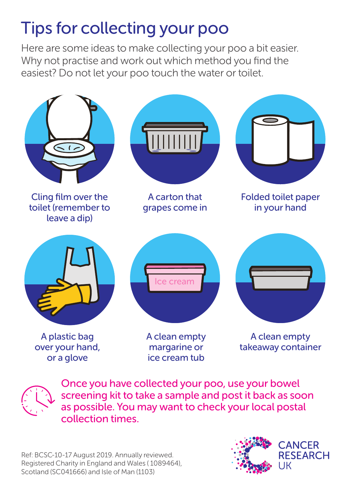## Tips for collecting your poo

Here are some ideas to make collecting your poo a bit easier. Why not practise and work out which method you find the easiest? Do not let your poo touch the water or toilet.



Once you have collected your poo, use your bowel screening kit to take a sample and post it back as soon as possible. You may want to check your local postal collection times.

Ref: BCSC-10-17 August 2019. Annually reviewed. Registered Charity in England and Wales ( 1089464), Scotland (SC041666) and Isle of Man (1103)



**CANCER RESEARCH**